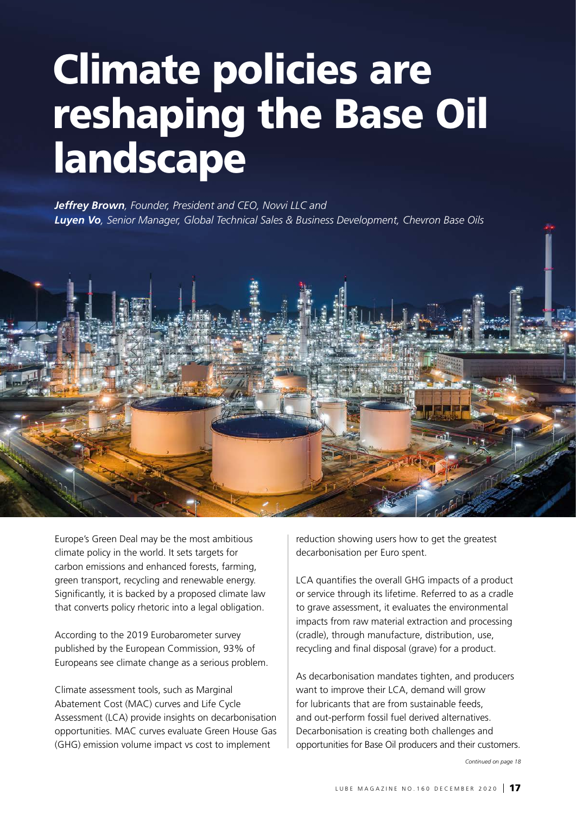# Climate policies are reshaping the Base Oil landscape

*Jeffrey Brown, Founder, President and CEO, Novvi LLC and Luyen Vo, Senior Manager, Global Technical Sales & Business Development, Chevron Base Oils*



Europe's Green Deal may be the most ambitious climate policy in the world. It sets targets for carbon emissions and enhanced forests, farming, green transport, recycling and renewable energy. Significantly, it is backed by a proposed climate law that converts policy rhetoric into a legal obligation.

According to the 2019 Eurobarometer survey published by the European Commission, 93% of Europeans see climate change as a serious problem.

Climate assessment tools, such as Marginal Abatement Cost (MAC) curves and Life Cycle Assessment (LCA) provide insights on decarbonisation opportunities. MAC curves evaluate Green House Gas (GHG) emission volume impact vs cost to implement

reduction showing users how to get the greatest decarbonisation per Euro spent.

LCA quantifies the overall GHG impacts of a product or service through its lifetime. Referred to as a cradle to grave assessment, it evaluates the environmental impacts from raw material extraction and processing (cradle), through manufacture, distribution, use, recycling and final disposal (grave) for a product.

As decarbonisation mandates tighten, and producers want to improve their LCA, demand will grow for lubricants that are from sustainable feeds, and out-perform fossil fuel derived alternatives. Decarbonisation is creating both challenges and opportunities for Base Oil producers and their customers.

*Continued on page 18*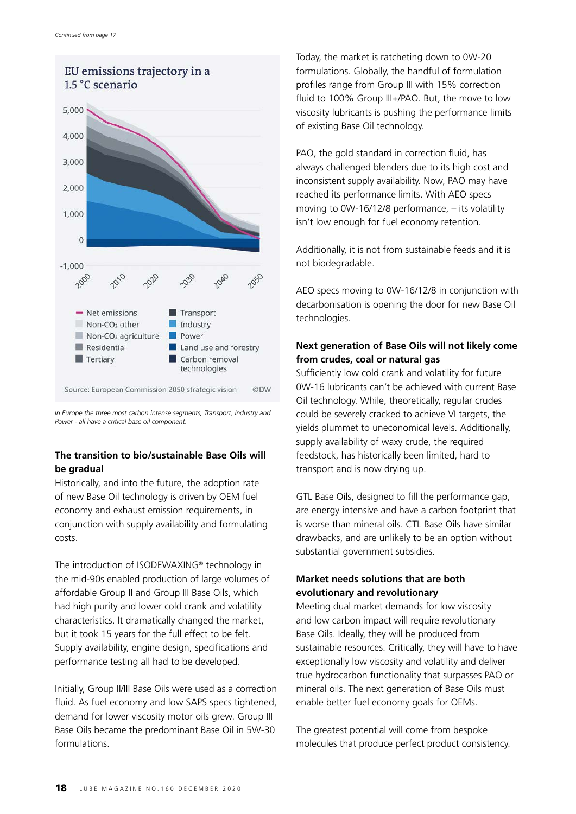

*In Europe the three most carbon intense segments, Transport, Industry and Power - all have a critical base oil component.* 

## **The transition to bio/sustainable Base Oils will be gradual**

Historically, and into the future, the adoption rate of new Base Oil technology is driven by OEM fuel economy and exhaust emission requirements, in conjunction with supply availability and formulating costs.

The introduction of ISODEWAXING® technology in the mid-90s enabled production of large volumes of affordable Group II and Group III Base Oils, which had high purity and lower cold crank and volatility characteristics. It dramatically changed the market, but it took 15 years for the full effect to be felt. Supply availability, engine design, specifications and performance testing all had to be developed.

Initially, Group II/III Base Oils were used as a correction fluid. As fuel economy and low SAPS specs tightened, demand for lower viscosity motor oils grew. Group III Base Oils became the predominant Base Oil in 5W-30 formulations.

Today, the market is ratcheting down to 0W-20 formulations. Globally, the handful of formulation profiles range from Group III with 15% correction fluid to 100% Group III+/PAO. But, the move to low viscosity lubricants is pushing the performance limits of existing Base Oil technology.

PAO, the gold standard in correction fluid, has always challenged blenders due to its high cost and inconsistent supply availability. Now, PAO may have reached its performance limits. With AEO specs moving to 0W-16/12/8 performance, – its volatility isn't low enough for fuel economy retention.

Additionally, it is not from sustainable feeds and it is not biodegradable.

AEO specs moving to 0W-16/12/8 in conjunction with decarbonisation is opening the door for new Base Oil technologies.

## **Next generation of Base Oils will not likely come from crudes, coal or natural gas**

Sufficiently low cold crank and volatility for future 0W-16 lubricants can't be achieved with current Base Oil technology. While, theoretically, regular crudes could be severely cracked to achieve VI targets, the yields plummet to uneconomical levels. Additionally, supply availability of waxy crude, the required feedstock, has historically been limited, hard to transport and is now drying up.

GTL Base Oils, designed to fill the performance gap, are energy intensive and have a carbon footprint that is worse than mineral oils. CTL Base Oils have similar drawbacks, and are unlikely to be an option without substantial government subsidies.

## **Market needs solutions that are both evolutionary and revolutionary**

Meeting dual market demands for low viscosity and low carbon impact will require revolutionary Base Oils. Ideally, they will be produced from sustainable resources. Critically, they will have to have exceptionally low viscosity and volatility and deliver true hydrocarbon functionality that surpasses PAO or mineral oils. The next generation of Base Oils must enable better fuel economy goals for OEMs.

The greatest potential will come from bespoke molecules that produce perfect product consistency.